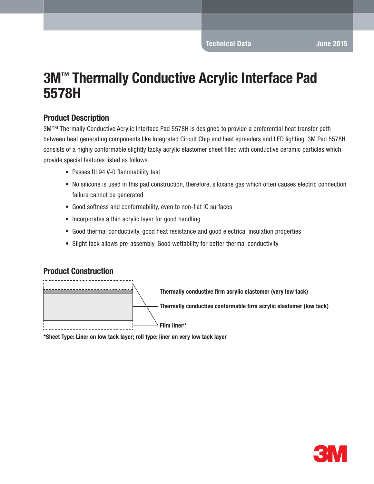# 3M™ Thermally Conductive Acrylic Interface Pad 5578H

### Product Description

3M™ Thermally Conductive Acrylic Interface Pad 5578H is designed to provide a preferential heat transfer path between heat generating components like Integrated Circuit Chip and heat spreaders and LED lighting. 3M Pad 5578H consists of a highly conformable slightly tacky acrylic elastomer sheet filled with conductive ceramic particles which provide special features listed as follows.

- Passes UL94 V-0 flammability test
- No silicone is used in this pad construction, therefore, siloxane gas which often causes electric connection failure cannot be generated
- Good softness and conformability, even to non-flat IC surfaces
- Incorporates a thin acrylic layer for good handling
- Good thermal conductivity, good heat resistance and good electrical insulation properties
- Slight tack allows pre-assembly. Good wettability for better thermal conductivity

#### Product Construction



\*Sheet Type: Liner on low tack layer; roll type: liner on very low tack layer

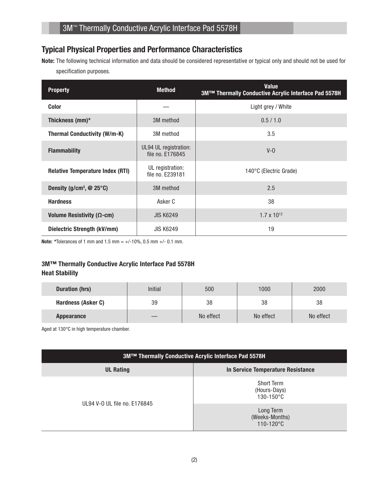## Typical Physical Properties and Performance Characteristics

Note: The following technical information and data should be considered representative or typical only and should not be used for specification purposes.

| <b>Property</b>                            | <b>Method</b>                             | <b>Value</b><br>3M™ Thermally Conductive Acrylic Interface Pad 5578H |
|--------------------------------------------|-------------------------------------------|----------------------------------------------------------------------|
| <b>Color</b>                               |                                           | Light grey / White                                                   |
| Thickness (mm)*                            | 3M method                                 | 0.5 / 1.0                                                            |
| <b>Thermal Conductivity (W/m-K)</b>        | 3M method                                 | 3.5                                                                  |
| <b>Flammability</b>                        | UL94 UL registration:<br>file no. E176845 | $V - Q$                                                              |
| <b>Relative Temperature Index (RTI)</b>    | UL registration:<br>file no. E239181      | 140°C (Electric Grade)                                               |
| Density (g/cm <sup>3</sup> , $@$ 25 $°C$ ) | 3M method                                 | 2.5                                                                  |
| <b>Hardness</b>                            | Asker C                                   | 38                                                                   |
| Volume Resistivity ( $\Omega$ -cm)         | <b>JIS K6249</b>                          | $1.7 \times 10^{12}$                                                 |
| Dielectric Strength (kV/mm)                | <b>JIS K6249</b>                          | 19                                                                   |

**Note:** \*Tolerances of 1 mm and 1.5 mm =  $+/-10\%$ , 0.5 mm  $+/-0.1$  mm.

#### 3M™ Thermally Conductive Acrylic Interface Pad 5578H Heat Stability

| <b>Duration (hrs)</b> | <b>Initial</b> | 500       | 1000      | 2000      |
|-----------------------|----------------|-----------|-----------|-----------|
| Hardness (Asker C)    | 39             | 38        | 38        | 38        |
| <b>Appearance</b>     |                | No effect | No effect | No effect |

Aged at 130°C in high temperature chamber.

| 3M™ Thermally Conductive Acrylic Interface Pad 5578H |                                                     |  |  |  |
|------------------------------------------------------|-----------------------------------------------------|--|--|--|
| <b>UL Rating</b>                                     | In Service Temperature Resistance                   |  |  |  |
|                                                      | <b>Short Term</b><br>(Hours-Days)<br>$130 - 150$ °C |  |  |  |
| UL94 V-0 UL file no. E176845                         | Long Term<br>(Weeks-Months)<br>$110 - 120^{\circ}C$ |  |  |  |